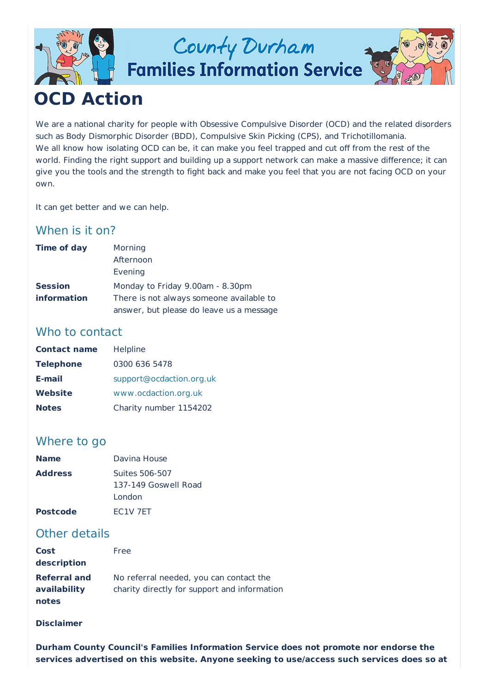

# County Durham

**Families Information Service** 



## **OCD Action**

We are a national charity for people with Obsessive Compulsive Disorder (OCD) and the related disorders such as Body Dismorphic Disorder (BDD), Compulsive Skin Picking (CPS), and Trichotillomania. We all know how isolating OCD can be, it can make you feel trapped and cut off from the rest of the world. Finding the right support and building up a support network can make a massive difference; it can give you the tools and the strength to fight back and make you feel that you are not facing OCD on your own.

It can get better and we can help.

### When is it on?

| <b>Time of day</b> | Morning                                  |
|--------------------|------------------------------------------|
|                    | Afternoon                                |
|                    | Evening                                  |
| <b>Session</b>     | Monday to Friday 9.00am - 8.30pm         |
| <i>information</i> | There is not always someone available to |
|                    | answer, but please do leave us a message |

#### Who to contact

| <b>Contact name</b> | Helpline                 |
|---------------------|--------------------------|
| <b>Telephone</b>    | 0300 636 5478            |
| E-mail              | support@ocdaction.org.uk |
| Website             | www.ocdaction.org.uk     |
| <b>Notes</b>        | Charity number 1154202   |

### Where to go

| <b>Name</b>     | Davina House                     |
|-----------------|----------------------------------|
| <b>Address</b>  | Suites 506-507                   |
|                 | 137-149 Goswell Road             |
|                 | London                           |
| <b>Postcode</b> | EC <sub>1</sub> V <sub>7ET</sub> |

#### Other details

| <b>Cost</b>         | Free                                         |
|---------------------|----------------------------------------------|
| description         |                                              |
| <b>Referral and</b> | No referral needed, you can contact the      |
| availability        | charity directly for support and information |
| notes               |                                              |

#### **Disclaimer**

**Durham County Council's Families Information Service does not promote nor endorse the services advertised on this website. Anyone seeking to use/access such services does so at**